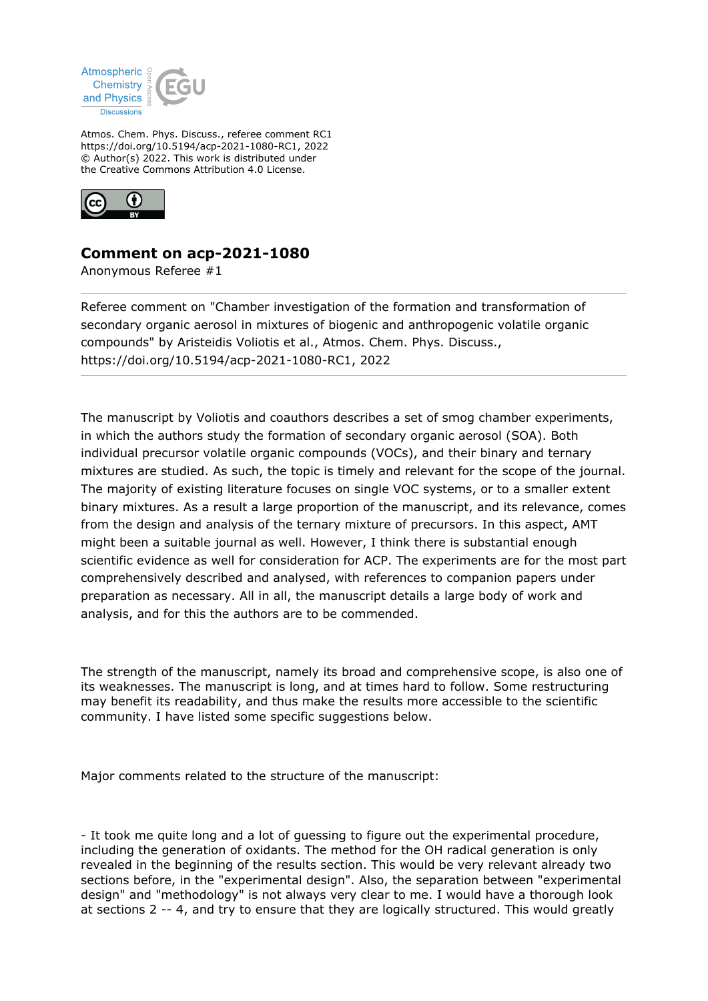

Atmos. Chem. Phys. Discuss., referee comment RC1 https://doi.org/10.5194/acp-2021-1080-RC1, 2022 © Author(s) 2022. This work is distributed under the Creative Commons Attribution 4.0 License.



## **Comment on acp-2021-1080**

Anonymous Referee #1

Referee comment on "Chamber investigation of the formation and transformation of secondary organic aerosol in mixtures of biogenic and anthropogenic volatile organic compounds" by Aristeidis Voliotis et al., Atmos. Chem. Phys. Discuss., https://doi.org/10.5194/acp-2021-1080-RC1, 2022

The manuscript by Voliotis and coauthors describes a set of smog chamber experiments, in which the authors study the formation of secondary organic aerosol (SOA). Both individual precursor volatile organic compounds (VOCs), and their binary and ternary mixtures are studied. As such, the topic is timely and relevant for the scope of the journal. The majority of existing literature focuses on single VOC systems, or to a smaller extent binary mixtures. As a result a large proportion of the manuscript, and its relevance, comes from the design and analysis of the ternary mixture of precursors. In this aspect, AMT might been a suitable journal as well. However, I think there is substantial enough scientific evidence as well for consideration for ACP. The experiments are for the most part comprehensively described and analysed, with references to companion papers under preparation as necessary. All in all, the manuscript details a large body of work and analysis, and for this the authors are to be commended.

The strength of the manuscript, namely its broad and comprehensive scope, is also one of its weaknesses. The manuscript is long, and at times hard to follow. Some restructuring may benefit its readability, and thus make the results more accessible to the scientific community. I have listed some specific suggestions below.

Major comments related to the structure of the manuscript:

- It took me quite long and a lot of guessing to figure out the experimental procedure, including the generation of oxidants. The method for the OH radical generation is only revealed in the beginning of the results section. This would be very relevant already two sections before, in the "experimental design". Also, the separation between "experimental design" and "methodology" is not always very clear to me. I would have a thorough look at sections 2 -- 4, and try to ensure that they are logically structured. This would greatly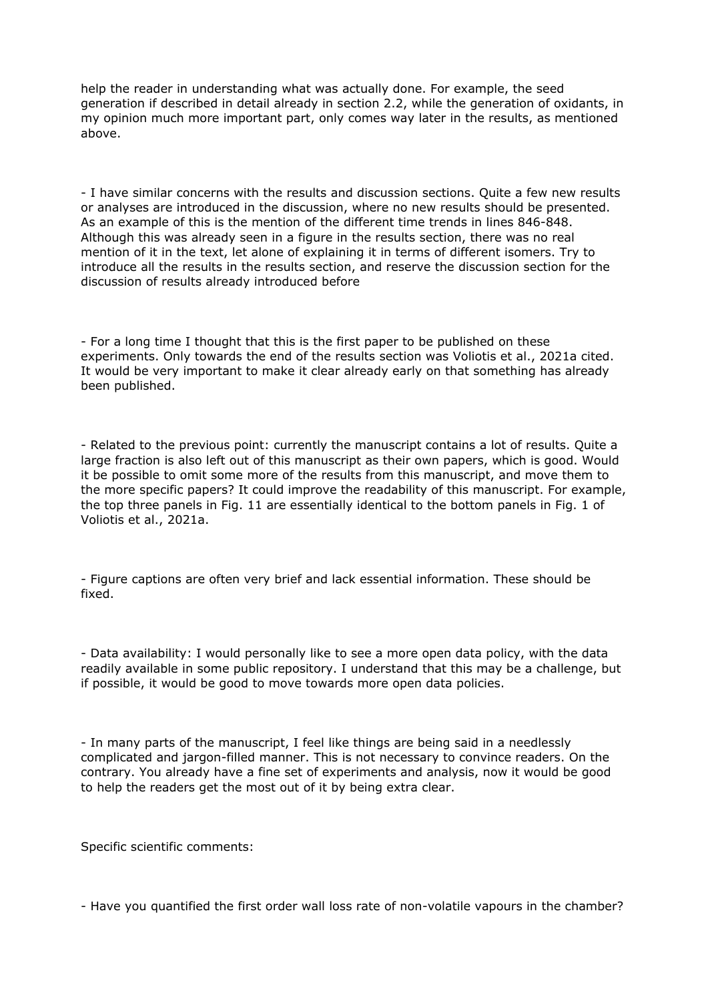help the reader in understanding what was actually done. For example, the seed generation if described in detail already in section 2.2, while the generation of oxidants, in my opinion much more important part, only comes way later in the results, as mentioned above.

- I have similar concerns with the results and discussion sections. Quite a few new results or analyses are introduced in the discussion, where no new results should be presented. As an example of this is the mention of the different time trends in lines 846-848. Although this was already seen in a figure in the results section, there was no real mention of it in the text, let alone of explaining it in terms of different isomers. Try to introduce all the results in the results section, and reserve the discussion section for the discussion of results already introduced before

- For a long time I thought that this is the first paper to be published on these experiments. Only towards the end of the results section was Voliotis et al., 2021a cited. It would be very important to make it clear already early on that something has already been published.

- Related to the previous point: currently the manuscript contains a lot of results. Quite a large fraction is also left out of this manuscript as their own papers, which is good. Would it be possible to omit some more of the results from this manuscript, and move them to the more specific papers? It could improve the readability of this manuscript. For example, the top three panels in Fig. 11 are essentially identical to the bottom panels in Fig. 1 of Voliotis et al., 2021a.

- Figure captions are often very brief and lack essential information. These should be fixed.

- Data availability: I would personally like to see a more open data policy, with the data readily available in some public repository. I understand that this may be a challenge, but if possible, it would be good to move towards more open data policies.

- In many parts of the manuscript, I feel like things are being said in a needlessly complicated and jargon-filled manner. This is not necessary to convince readers. On the contrary. You already have a fine set of experiments and analysis, now it would be good to help the readers get the most out of it by being extra clear.

Specific scientific comments:

- Have you quantified the first order wall loss rate of non-volatile vapours in the chamber?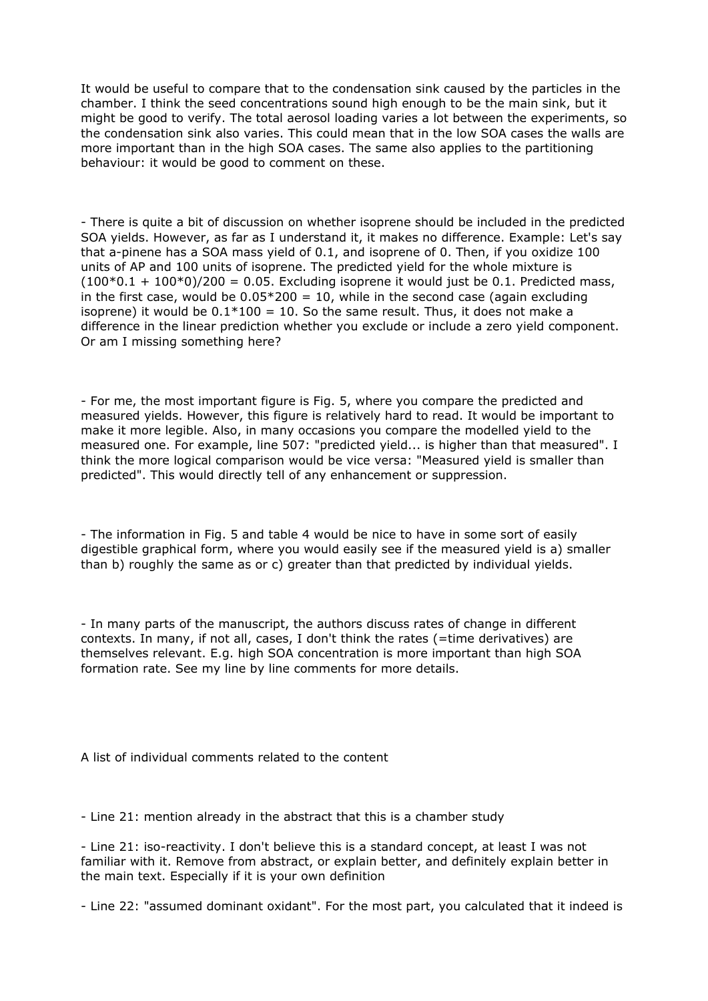It would be useful to compare that to the condensation sink caused by the particles in the chamber. I think the seed concentrations sound high enough to be the main sink, but it might be good to verify. The total aerosol loading varies a lot between the experiments, so the condensation sink also varies. This could mean that in the low SOA cases the walls are more important than in the high SOA cases. The same also applies to the partitioning behaviour: it would be good to comment on these.

- There is quite a bit of discussion on whether isoprene should be included in the predicted SOA yields. However, as far as I understand it, it makes no difference. Example: Let's say that a-pinene has a SOA mass yield of 0.1, and isoprene of 0. Then, if you oxidize 100 units of AP and 100 units of isoprene. The predicted yield for the whole mixture is  $(100*0.1 + 100*0)/200 = 0.05$ . Excluding isoprene it would just be 0.1. Predicted mass, in the first case, would be  $0.05*200 = 10$ , while in the second case (again excluding isoprene) it would be  $0.1*100 = 10$ . So the same result. Thus, it does not make a difference in the linear prediction whether you exclude or include a zero yield component. Or am I missing something here?

- For me, the most important figure is Fig. 5, where you compare the predicted and measured yields. However, this figure is relatively hard to read. It would be important to make it more legible. Also, in many occasions you compare the modelled yield to the measured one. For example, line 507: "predicted yield... is higher than that measured". I think the more logical comparison would be vice versa: "Measured yield is smaller than predicted". This would directly tell of any enhancement or suppression.

- The information in Fig. 5 and table 4 would be nice to have in some sort of easily digestible graphical form, where you would easily see if the measured yield is a) smaller than b) roughly the same as or c) greater than that predicted by individual yields.

- In many parts of the manuscript, the authors discuss rates of change in different contexts. In many, if not all, cases, I don't think the rates (=time derivatives) are themselves relevant. E.g. high SOA concentration is more important than high SOA formation rate. See my line by line comments for more details.

A list of individual comments related to the content

- Line 21: mention already in the abstract that this is a chamber study

- Line 21: iso-reactivity. I don't believe this is a standard concept, at least I was not familiar with it. Remove from abstract, or explain better, and definitely explain better in the main text. Especially if it is your own definition

- Line 22: "assumed dominant oxidant". For the most part, you calculated that it indeed is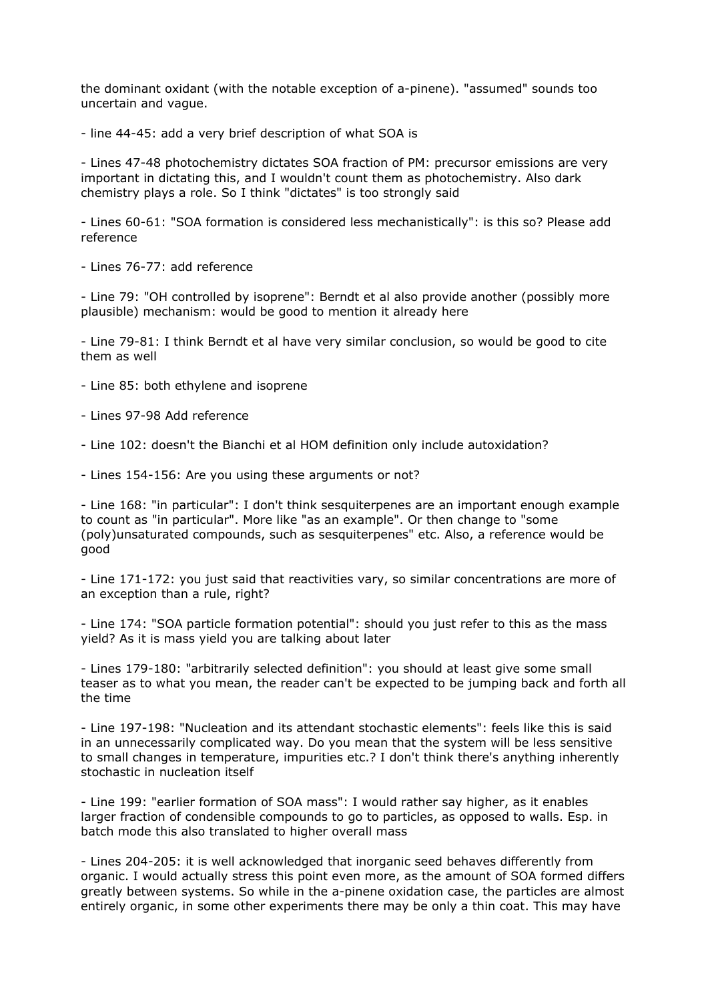the dominant oxidant (with the notable exception of a-pinene). "assumed" sounds too uncertain and vague.

- line 44-45: add a very brief description of what SOA is

- Lines 47-48 photochemistry dictates SOA fraction of PM: precursor emissions are very important in dictating this, and I wouldn't count them as photochemistry. Also dark chemistry plays a role. So I think "dictates" is too strongly said

- Lines 60-61: "SOA formation is considered less mechanistically": is this so? Please add reference

- Lines 76-77: add reference

- Line 79: "OH controlled by isoprene": Berndt et al also provide another (possibly more plausible) mechanism: would be good to mention it already here

- Line 79-81: I think Berndt et al have very similar conclusion, so would be good to cite them as well

- Line 85: both ethylene and isoprene
- Lines 97-98 Add reference
- Line 102: doesn't the Bianchi et al HOM definition only include autoxidation?
- Lines 154-156: Are you using these arguments or not?

- Line 168: "in particular": I don't think sesquiterpenes are an important enough example to count as "in particular". More like "as an example". Or then change to "some (poly)unsaturated compounds, such as sesquiterpenes" etc. Also, a reference would be good

- Line 171-172: you just said that reactivities vary, so similar concentrations are more of an exception than a rule, right?

- Line 174: "SOA particle formation potential": should you just refer to this as the mass yield? As it is mass yield you are talking about later

- Lines 179-180: "arbitrarily selected definition": you should at least give some small teaser as to what you mean, the reader can't be expected to be jumping back and forth all the time

- Line 197-198: "Nucleation and its attendant stochastic elements": feels like this is said in an unnecessarily complicated way. Do you mean that the system will be less sensitive to small changes in temperature, impurities etc.? I don't think there's anything inherently stochastic in nucleation itself

- Line 199: "earlier formation of SOA mass": I would rather say higher, as it enables larger fraction of condensible compounds to go to particles, as opposed to walls. Esp. in batch mode this also translated to higher overall mass

- Lines 204-205: it is well acknowledged that inorganic seed behaves differently from organic. I would actually stress this point even more, as the amount of SOA formed differs greatly between systems. So while in the a-pinene oxidation case, the particles are almost entirely organic, in some other experiments there may be only a thin coat. This may have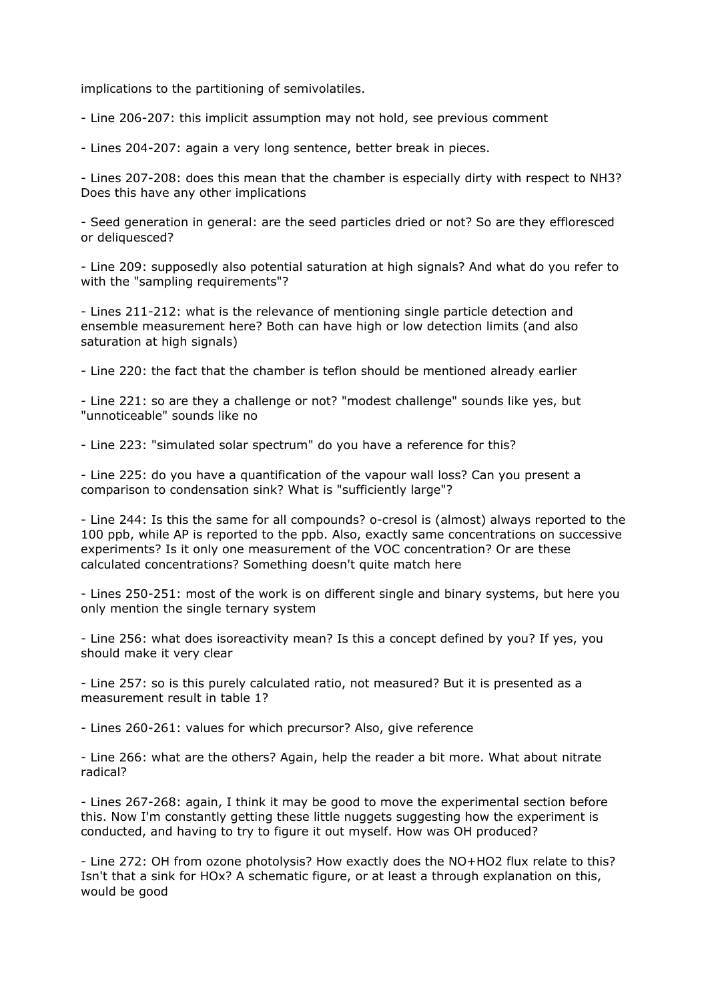implications to the partitioning of semivolatiles.

- Line 206-207: this implicit assumption may not hold, see previous comment

- Lines 204-207: again a very long sentence, better break in pieces.

- Lines 207-208: does this mean that the chamber is especially dirty with respect to NH3? Does this have any other implications

- Seed generation in general: are the seed particles dried or not? So are they effloresced or deliquesced?

- Line 209: supposedly also potential saturation at high signals? And what do you refer to with the "sampling requirements"?

- Lines 211-212: what is the relevance of mentioning single particle detection and ensemble measurement here? Both can have high or low detection limits (and also saturation at high signals)

- Line 220: the fact that the chamber is teflon should be mentioned already earlier

- Line 221: so are they a challenge or not? "modest challenge" sounds like yes, but "unnoticeable" sounds like no

- Line 223: "simulated solar spectrum" do you have a reference for this?

- Line 225: do you have a quantification of the vapour wall loss? Can you present a comparison to condensation sink? What is "sufficiently large"?

- Line 244: Is this the same for all compounds? o-cresol is (almost) always reported to the 100 ppb, while AP is reported to the ppb. Also, exactly same concentrations on successive experiments? Is it only one measurement of the VOC concentration? Or are these calculated concentrations? Something doesn't quite match here

- Lines 250-251: most of the work is on different single and binary systems, but here you only mention the single ternary system

- Line 256: what does isoreactivity mean? Is this a concept defined by you? If yes, you should make it very clear

- Line 257: so is this purely calculated ratio, not measured? But it is presented as a measurement result in table 1?

- Lines 260-261: values for which precursor? Also, give reference

- Line 266: what are the others? Again, help the reader a bit more. What about nitrate radical?

- Lines 267-268: again, I think it may be good to move the experimental section before this. Now I'm constantly getting these little nuggets suggesting how the experiment is conducted, and having to try to figure it out myself. How was OH produced?

- Line 272: OH from ozone photolysis? How exactly does the NO+HO2 flux relate to this? Isn't that a sink for HOx? A schematic figure, or at least a through explanation on this, would be good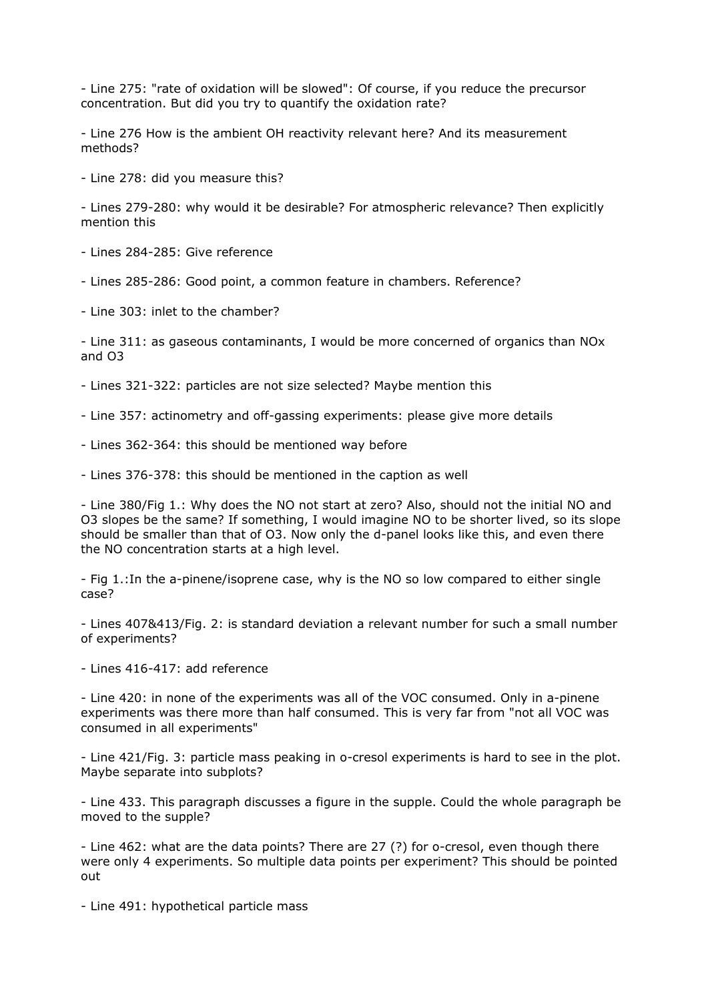- Line 275: "rate of oxidation will be slowed": Of course, if you reduce the precursor concentration. But did you try to quantify the oxidation rate?

- Line 276 How is the ambient OH reactivity relevant here? And its measurement methods?

- Line 278: did you measure this?

- Lines 279-280: why would it be desirable? For atmospheric relevance? Then explicitly mention this

- Lines 284-285: Give reference

- Lines 285-286: Good point, a common feature in chambers. Reference?

- Line 303: inlet to the chamber?

- Line 311: as gaseous contaminants, I would be more concerned of organics than NOx and O3

- Lines 321-322: particles are not size selected? Maybe mention this

- Line 357: actinometry and off-gassing experiments: please give more details

- Lines 362-364: this should be mentioned way before

- Lines 376-378: this should be mentioned in the caption as well

- Line 380/Fig 1.: Why does the NO not start at zero? Also, should not the initial NO and O3 slopes be the same? If something, I would imagine NO to be shorter lived, so its slope should be smaller than that of O3. Now only the d-panel looks like this, and even there the NO concentration starts at a high level.

- Fig 1.:In the a-pinene/isoprene case, why is the NO so low compared to either single case?

- Lines 407&413/Fig. 2: is standard deviation a relevant number for such a small number of experiments?

- Lines 416-417: add reference

- Line 420: in none of the experiments was all of the VOC consumed. Only in a-pinene experiments was there more than half consumed. This is very far from "not all VOC was consumed in all experiments"

- Line 421/Fig. 3: particle mass peaking in o-cresol experiments is hard to see in the plot. Maybe separate into subplots?

- Line 433. This paragraph discusses a figure in the supple. Could the whole paragraph be moved to the supple?

- Line 462: what are the data points? There are 27 (?) for o-cresol, even though there were only 4 experiments. So multiple data points per experiment? This should be pointed out

- Line 491: hypothetical particle mass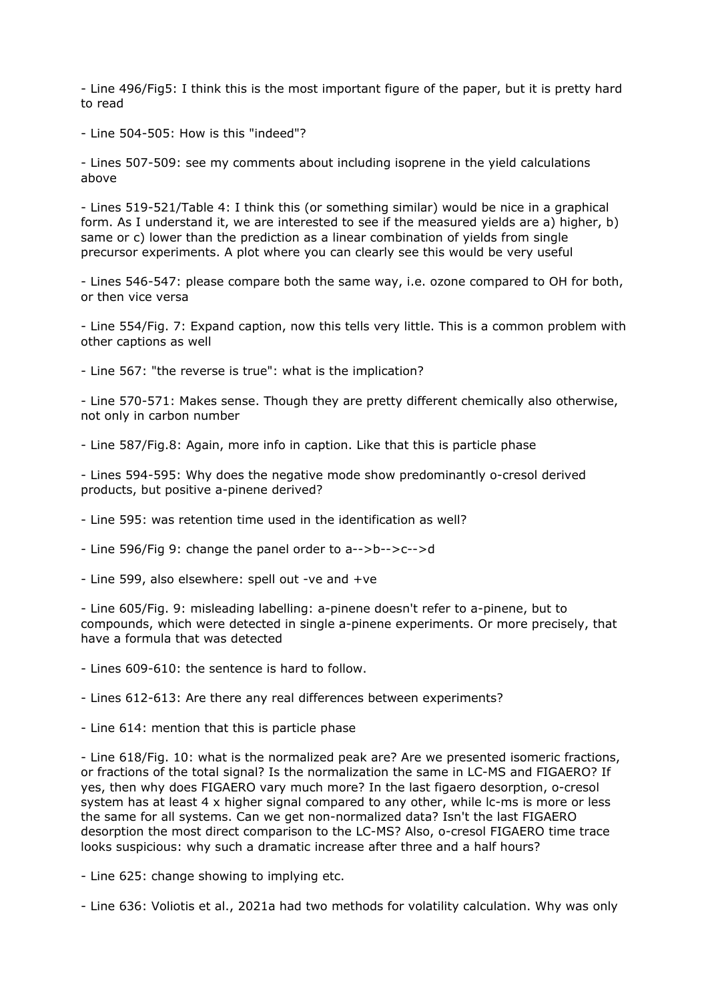- Line 496/Fig5: I think this is the most important figure of the paper, but it is pretty hard to read

- Line 504-505: How is this "indeed"?

- Lines 507-509: see my comments about including isoprene in the yield calculations above

- Lines 519-521/Table 4: I think this (or something similar) would be nice in a graphical form. As I understand it, we are interested to see if the measured yields are a) higher, b) same or c) lower than the prediction as a linear combination of yields from single precursor experiments. A plot where you can clearly see this would be very useful

- Lines 546-547: please compare both the same way, i.e. ozone compared to OH for both, or then vice versa

- Line 554/Fig. 7: Expand caption, now this tells very little. This is a common problem with other captions as well

- Line 567: "the reverse is true": what is the implication?

- Line 570-571: Makes sense. Though they are pretty different chemically also otherwise, not only in carbon number

- Line 587/Fig.8: Again, more info in caption. Like that this is particle phase

- Lines 594-595: Why does the negative mode show predominantly o-cresol derived products, but positive a-pinene derived?

- Line 595: was retention time used in the identification as well?

- Line 596/Fig 9: change the panel order to a-->b-->c-->d

- Line 599, also elsewhere: spell out -ve and +ve

- Line 605/Fig. 9: misleading labelling: a-pinene doesn't refer to a-pinene, but to compounds, which were detected in single a-pinene experiments. Or more precisely, that have a formula that was detected

- Lines 609-610: the sentence is hard to follow.

- Lines 612-613: Are there any real differences between experiments?

- Line 614: mention that this is particle phase

- Line 618/Fig. 10: what is the normalized peak are? Are we presented isomeric fractions, or fractions of the total signal? Is the normalization the same in LC-MS and FIGAERO? If yes, then why does FIGAERO vary much more? In the last figaero desorption, o-cresol system has at least 4 x higher signal compared to any other, while lc-ms is more or less the same for all systems. Can we get non-normalized data? Isn't the last FIGAERO desorption the most direct comparison to the LC-MS? Also, o-cresol FIGAERO time trace looks suspicious: why such a dramatic increase after three and a half hours?

- Line 625: change showing to implying etc.

- Line 636: Voliotis et al., 2021a had two methods for volatility calculation. Why was only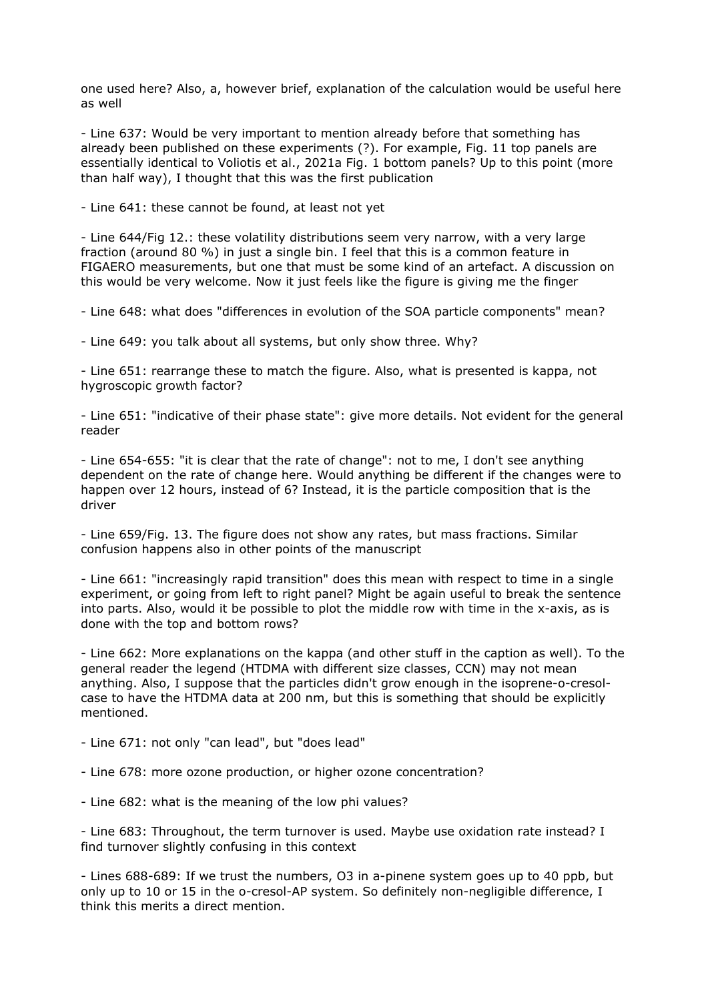one used here? Also, a, however brief, explanation of the calculation would be useful here as well

- Line 637: Would be very important to mention already before that something has already been published on these experiments (?). For example, Fig. 11 top panels are essentially identical to Voliotis et al., 2021a Fig. 1 bottom panels? Up to this point (more than half way), I thought that this was the first publication

- Line 641: these cannot be found, at least not yet

- Line 644/Fig 12.: these volatility distributions seem very narrow, with a very large fraction (around 80 %) in just a single bin. I feel that this is a common feature in FIGAERO measurements, but one that must be some kind of an artefact. A discussion on this would be very welcome. Now it just feels like the figure is giving me the finger

- Line 648: what does "differences in evolution of the SOA particle components" mean?

- Line 649: you talk about all systems, but only show three. Why?

- Line 651: rearrange these to match the figure. Also, what is presented is kappa, not hygroscopic growth factor?

- Line 651: "indicative of their phase state": give more details. Not evident for the general reader

- Line 654-655: "it is clear that the rate of change": not to me, I don't see anything dependent on the rate of change here. Would anything be different if the changes were to happen over 12 hours, instead of 6? Instead, it is the particle composition that is the driver

- Line 659/Fig. 13. The figure does not show any rates, but mass fractions. Similar confusion happens also in other points of the manuscript

- Line 661: "increasingly rapid transition" does this mean with respect to time in a single experiment, or going from left to right panel? Might be again useful to break the sentence into parts. Also, would it be possible to plot the middle row with time in the x-axis, as is done with the top and bottom rows?

- Line 662: More explanations on the kappa (and other stuff in the caption as well). To the general reader the legend (HTDMA with different size classes, CCN) may not mean anything. Also, I suppose that the particles didn't grow enough in the isoprene-o-cresolcase to have the HTDMA data at 200 nm, but this is something that should be explicitly mentioned.

- Line 671: not only "can lead", but "does lead"

- Line 678: more ozone production, or higher ozone concentration?

- Line 682: what is the meaning of the low phi values?

- Line 683: Throughout, the term turnover is used. Maybe use oxidation rate instead? I find turnover slightly confusing in this context

- Lines 688-689: If we trust the numbers, O3 in a-pinene system goes up to 40 ppb, but only up to 10 or 15 in the o-cresol-AP system. So definitely non-negligible difference, I think this merits a direct mention.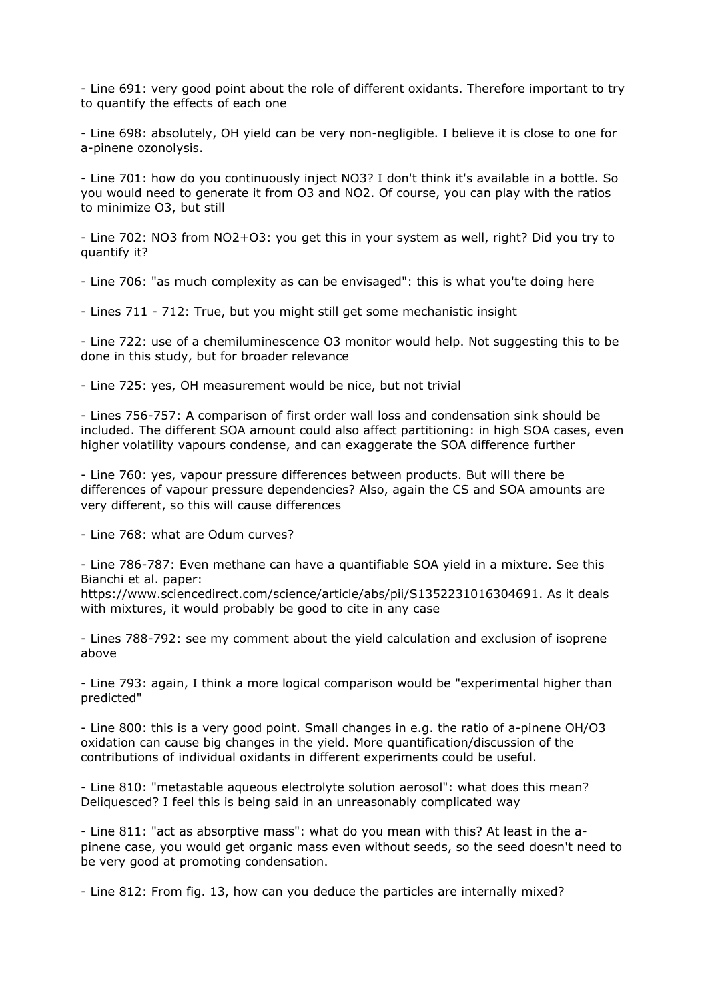- Line 691: very good point about the role of different oxidants. Therefore important to try to quantify the effects of each one

- Line 698: absolutely, OH yield can be very non-negligible. I believe it is close to one for a-pinene ozonolysis.

- Line 701: how do you continuously inject NO3? I don't think it's available in a bottle. So you would need to generate it from O3 and NO2. Of course, you can play with the ratios to minimize O3, but still

- Line 702: NO3 from NO2+O3: you get this in your system as well, right? Did you try to quantify it?

- Line 706: "as much complexity as can be envisaged": this is what you'te doing here

- Lines 711 - 712: True, but you might still get some mechanistic insight

- Line 722: use of a chemiluminescence O3 monitor would help. Not suggesting this to be done in this study, but for broader relevance

- Line 725: yes, OH measurement would be nice, but not trivial

- Lines 756-757: A comparison of first order wall loss and condensation sink should be included. The different SOA amount could also affect partitioning: in high SOA cases, even higher volatility vapours condense, and can exaggerate the SOA difference further

- Line 760: yes, vapour pressure differences between products. But will there be differences of vapour pressure dependencies? Also, again the CS and SOA amounts are very different, so this will cause differences

- Line 768: what are Odum curves?

- Line 786-787: Even methane can have a quantifiable SOA yield in a mixture. See this Bianchi et al. paper:

https://www.sciencedirect.com/science/article/abs/pii/S1352231016304691. As it deals with mixtures, it would probably be good to cite in any case

- Lines 788-792: see my comment about the yield calculation and exclusion of isoprene above

- Line 793: again, I think a more logical comparison would be "experimental higher than predicted"

- Line 800: this is a very good point. Small changes in e.g. the ratio of a-pinene OH/O3 oxidation can cause big changes in the yield. More quantification/discussion of the contributions of individual oxidants in different experiments could be useful.

- Line 810: "metastable aqueous electrolyte solution aerosol": what does this mean? Deliquesced? I feel this is being said in an unreasonably complicated way

- Line 811: "act as absorptive mass": what do you mean with this? At least in the apinene case, you would get organic mass even without seeds, so the seed doesn't need to be very good at promoting condensation.

- Line 812: From fig. 13, how can you deduce the particles are internally mixed?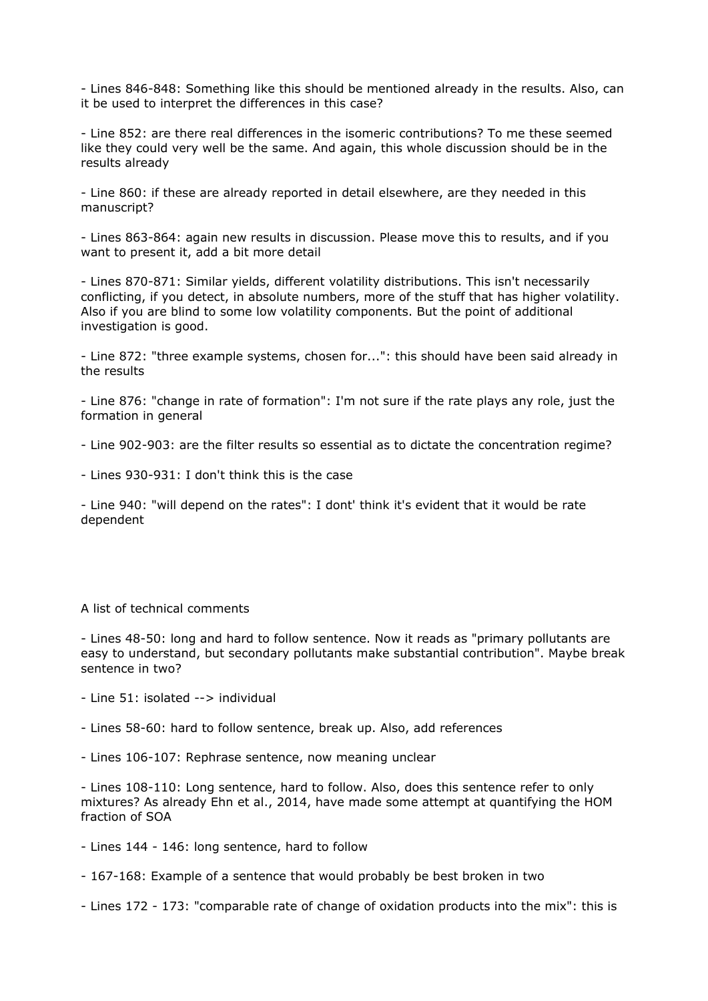- Lines 846-848: Something like this should be mentioned already in the results. Also, can it be used to interpret the differences in this case?

- Line 852: are there real differences in the isomeric contributions? To me these seemed like they could very well be the same. And again, this whole discussion should be in the results already

- Line 860: if these are already reported in detail elsewhere, are they needed in this manuscript?

- Lines 863-864: again new results in discussion. Please move this to results, and if you want to present it, add a bit more detail

- Lines 870-871: Similar yields, different volatility distributions. This isn't necessarily conflicting, if you detect, in absolute numbers, more of the stuff that has higher volatility. Also if you are blind to some low volatility components. But the point of additional investigation is good.

- Line 872: "three example systems, chosen for...": this should have been said already in the results

- Line 876: "change in rate of formation": I'm not sure if the rate plays any role, just the formation in general

- Line 902-903: are the filter results so essential as to dictate the concentration regime?

- Lines 930-931: I don't think this is the case

- Line 940: "will depend on the rates": I dont' think it's evident that it would be rate dependent

## A list of technical comments

- Lines 48-50: long and hard to follow sentence. Now it reads as "primary pollutants are easy to understand, but secondary pollutants make substantial contribution". Maybe break sentence in two?

- Line 51: isolated --> individual
- Lines 58-60: hard to follow sentence, break up. Also, add references
- Lines 106-107: Rephrase sentence, now meaning unclear

- Lines 108-110: Long sentence, hard to follow. Also, does this sentence refer to only mixtures? As already Ehn et al., 2014, have made some attempt at quantifying the HOM fraction of SOA

- Lines 144 146: long sentence, hard to follow
- 167-168: Example of a sentence that would probably be best broken in two
- Lines 172 173: "comparable rate of change of oxidation products into the mix": this is